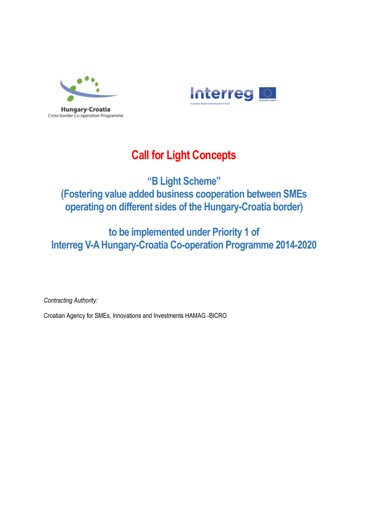



# **Call for Light Concepts**

# **"B Light Scheme" (Fostering value added business cooperation between SMEs operating on different sides of the Hungary-Croatia border)**

# **to be implemented under Priority 1 of Interreg V-A Hungary-Croatia Co-operation Programme 2014-2020**

*Contracting Authority:*

Croatian Agency for SMEs, Innovations and Investments HAMAG -BICRO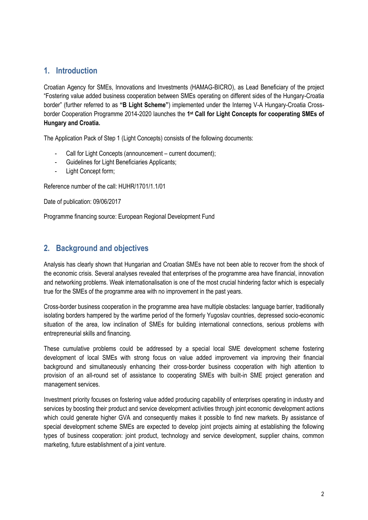## **1. Introduction**

Croatian Agency for SMEs, Innovations and Investments (HAMAG-BICRO), as Lead Beneficiary of the project "Fostering value added business cooperation between SMEs operating on different sides of the Hungary-Croatia border" (further referred to as **"B Light Scheme"**) implemented under the Interreg V-A Hungary-Croatia Crossborder Cooperation Programme 2014-2020 launches the 1<sup>st</sup> Call for Light Concepts for cooperating SMEs of **Hungary and Croatia.**

The Application Pack of Step 1 (Light Concepts) consists of the following documents:

- Call for Light Concepts (announcement current document);
- Guidelines for Light Beneficiaries Applicants;
- Light Concept form;

Reference number of the call: HUHR/1701/1.1/01

Date of publication: 09/06/2017

Programme financing source: European Regional Development Fund

## **2. Background and objectives**

Analysis has clearly shown that Hungarian and Croatian SMEs have not been able to recover from the shock of the economic crisis. Several analyses revealed that enterprises of the programme area have financial, innovation and networking problems. Weak internationalisation is one of the most crucial hindering factor which is especially true for the SMEs of the programme area with no improvement in the past years.

Cross-border business cooperation in the programme area have multiple obstacles: language barrier, traditionally isolating borders hampered by the wartime period of the formerly Yugoslav countries, depressed socio-economic situation of the area, low inclination of SMEs for building international connections, serious problems with entrepreneurial skills and financing.

These cumulative problems could be addressed by a special local SME development scheme fostering development of local SMEs with strong focus on value added improvement via improving their financial background and simultaneously enhancing their cross-border business cooperation with high attention to provision of an all-round set of assistance to cooperating SMEs with built-in SME project generation and management services.

Investment priority focuses on fostering value added producing capability of enterprises operating in industry and services by boosting their product and service development activities through joint economic development actions which could generate higher GVA and consequently makes it possible to find new markets. By assistance of special development scheme SMEs are expected to develop joint projects aiming at establishing the following types of business cooperation: joint product, technology and service development, supplier chains, common marketing, future establishment of a joint venture.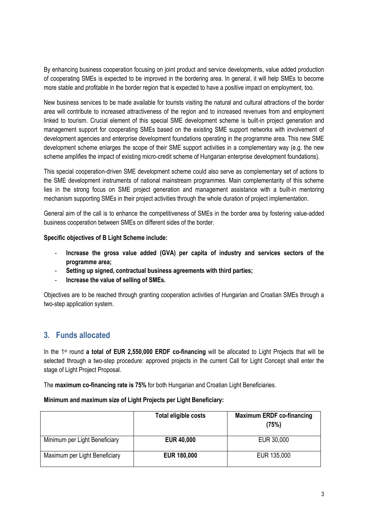By enhancing business cooperation focusing on joint product and service developments, value added production of cooperating SMEs is expected to be improved in the bordering area. In general, it will help SMEs to become more stable and profitable in the border region that is expected to have a positive impact on employment, too.

New business services to be made available for tourists visiting the natural and cultural attractions of the border area will contribute to increased attractiveness of the region and to increased revenues from and employment linked to tourism. Crucial element of this special SME development scheme is built-in project generation and management support for cooperating SMEs based on the existing SME support networks with involvement of development agencies and enterprise development foundations operating in the programme area. This new SME development scheme enlarges the scope of their SME support activities in a complementary way (e.g. the new scheme amplifies the impact of existing micro-credit scheme of Hungarian enterprise development foundations).

This special cooperation-driven SME development scheme could also serve as complementary set of actions to the SME development instruments of national mainstream programmes. Main complementarity of this scheme lies in the strong focus on SME project generation and management assistance with a built-in mentoring mechanism supporting SMEs in their project activities through the whole duration of project implementation.

General aim of the call is to enhance the competitiveness of SMEs in the border area by fostering value-added business cooperation between SMEs on different sides of the border.

### **Specific objectives of B Light Scheme include:**

- **Increase the gross value added (GVA) per capita of industry and services sectors of the programme area;**
- **Setting up signed, contractual business agreements with third parties;**
- **Increase the value of selling of SMEs.**

Objectives are to be reached through granting cooperation activities of Hungarian and Croatian SMEs through a two-step application system.

### **3. Funds allocated**

In the 1st round **a total of EUR 2,550,000 ERDF co-financing** will be allocated to Light Projects that will be selected through a two-step procedure: approved projects in the current Call for Light Concept shall enter the stage of Light Project Proposal.

The **maximum co-financing rate is 75%** for both Hungarian and Croatian Light Beneficiaries.

#### **Minimum and maximum size of Light Projects per Light Beneficiary:**

|                               | Total eligible costs | <b>Maximum ERDF co-financing</b><br>(75%) |
|-------------------------------|----------------------|-------------------------------------------|
| Minimum per Light Beneficiary | <b>EUR 40,000</b>    | EUR 30,000                                |
| Maximum per Light Beneficiary | <b>EUR 180,000</b>   | EUR 135,000                               |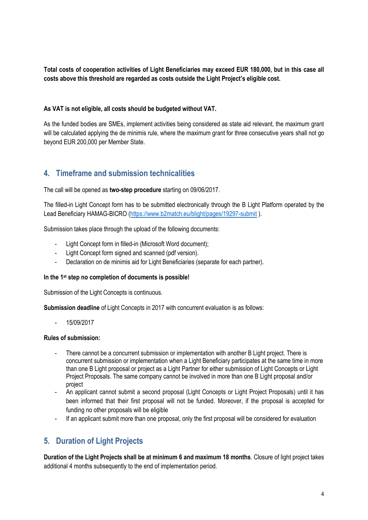**Total costs of cooperation activities of Light Beneficiaries may exceed EUR 180,000, but in this case all costs above this threshold are regarded as costs outside the Light Project's eligible cost.**

### **As VAT is not eligible, all costs should be budgeted without VAT.**

As the funded bodies are SMEs, implement activities being considered as state aid relevant, the maximum grant will be calculated applying the de minimis rule, where the maximum grant for three consecutive years shall not go beyond EUR 200,000 per Member State.

# **4. Timeframe and submission technicalities**

The call will be opened as **two-step procedure** starting on 09/06/2017.

The filled-in Light Concept form has to be submitted electronically through the B Light Platform operated by the Lead Beneficiary HAMAG-BICRO [\(https://www.b2match.eu/blight/pages/19297-submit](https://www.b2match.eu/blight/pages/19297-submit) ).

Submission takes place through the upload of the following documents:

- Light Concept form in filled-in (Microsoft Word document);
- Light Concept form signed and scanned (pdf version).
- Declaration on de minimis aid for Light Beneficiaries (separate for each partner).

### **In the 1st step no completion of documents is possible!**

Submission of the Light Concepts is continuous.

**Submission deadline** of Light Concepts in 2017 with concurrent evaluation is as follows:

- 15/09/2017

### **Rules of submission:**

- There cannot be a concurrent submission or implementation with another B Light project. There is concurrent submission or implementation when a Light Beneficiary participates at the same time in more than one B Light proposal or project as a Light Partner for either submission of Light Concepts or Light Project Proposals. The same company cannot be involved in more than one B Light proposal and/or project
- An applicant cannot submit a second proposal (Light Concepts or Light Project Proposals) until it has been informed that their first proposal will not be funded. Moreover, if the proposal is accepted for funding no other proposals will be eligible
- If an applicant submit more than one proposal, only the first proposal will be considered for evaluation

# **5. Duration of Light Projects**

**Duration of the Light Projects shall be at minimum 6 and maximum 18 months**. Closure of light project takes additional 4 months subsequently to the end of implementation period.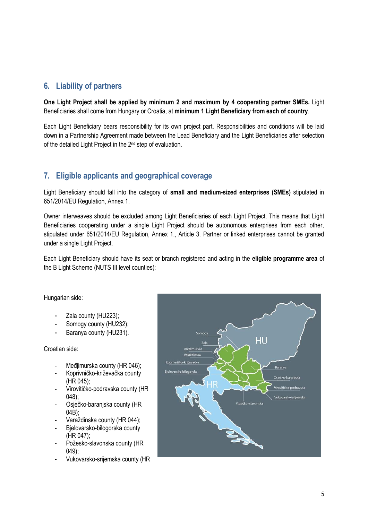## **6. Liability of partners**

**One Light Project shall be applied by minimum 2 and maximum by 4 cooperating partner SMEs.** Light Beneficiaries shall come from Hungary or Croatia, at **minimum 1 Light Beneficiary from each of country**.

Each Light Beneficiary bears responsibility for its own project part. Responsibilities and conditions will be laid down in a Partnership Agreement made between the Lead Beneficiary and the Light Beneficiaries after selection of the detailed Light Project in the 2nd step of evaluation.

# **7. Eligible applicants and geographical coverage**

Light Beneficiary should fall into the category of **small and medium-sized enterprises (SMEs)** stipulated in 651/2014/EU Regulation, Annex 1.

Owner interweaves should be excluded among Light Beneficiaries of each Light Project. This means that Light Beneficiaries cooperating under a single Light Project should be autonomous enterprises from each other, stipulated under 651/2014/EU Regulation, Annex 1., Article 3. Partner or linked enterprises cannot be granted under a single Light Project.

Each Light Beneficiary should have its seat or branch registered and acting in the **eligible programme area** of the B Light Scheme (NUTS III level counties):

Hungarian side:

- Zala county (HU223);
- Somogy county (HU232);
- Baranya county (HU231).

Croatian side:

- Međjimurska county (HR 046);
- Koprivničko-križevačka county (HR 045);
- Virovitičko-podravska county (HR 048);
- Osječko-baranjska county (HR 04B);
- Varaždinska county (HR 044);
- Bjelovarsko-bilogorska county (HR 047);
- Požesko-slavonska county (HR 049);
- Vukovarsko-srijemska county (HR

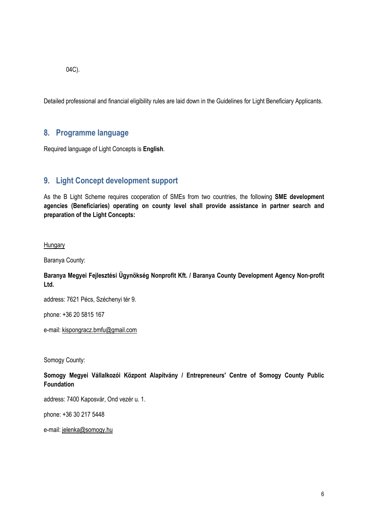04C).

Detailed professional and financial eligibility rules are laid down in the Guidelines for Light Beneficiary Applicants.

## **8. Programme language**

Required language of Light Concepts is **English**.

# **9. Light Concept development support**

As the B Light Scheme requires cooperation of SMEs from two countries, the following **SME development agencies (Beneficiaries) operating on county level shall provide assistance in partner search and preparation of the Light Concepts:**

### **Hungary**

Baranya County:

### **Baranya Megyei Fejlesztési Ügynökség Nonprofit Kft. / Baranya County Development Agency Non-profit Ltd.**

address: 7621 Pécs, Széchenyi tér 9.

phone: +36 20 5815 167

e-mail[: kispongracz.bmfu@gmail.com](mailto:kispongracz.bmfu@gmail.com)

Somogy County:

### **Somogy Megyei Vállalkozói Központ Alapítvány / Entrepreneurs' Centre of Somogy County Public Foundation**

address: 7400 Kaposvár, Ond vezér u. 1.

phone: [+36 30 217 5448](tel:+36%2030%20217%205448)

e-mail[: jelenka@somogy.hu](mailto:jelenka@somogy.hu)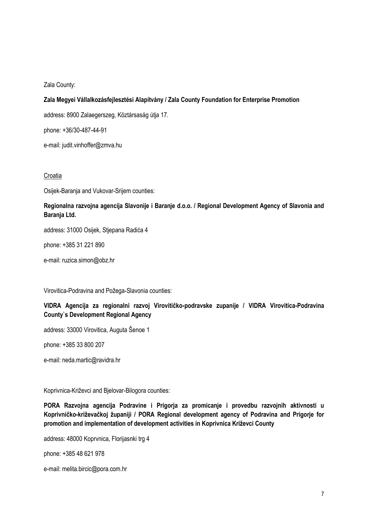#### Zala County:

### **Zala Megyei Vállalkozásfejlesztési Alapítvány / Zala County Foundation for Enterprise Promotion**

address: 8900 Zalaegerszeg, Köztársaság útja 17.

phone: [+36/30-487-44-91](tel:+36/30-487-44-91)

e-mail[: judit.vinhoffer@zmva.hu](mailto:judit.vinhoffer@zmva.hu)

### **Croatia**

Osijek-Baranja and Vukovar-Srijem counties:

### **Regionalna razvojna agencija Slavonije i Baranje d.o.o. / Regional Development Agency of Slavonia and Baranja Ltd.**

address: 31000 Osijek, Stjepana Radića 4

phone: [+385 31 221 890](tel:+385%2031%20221%20890)

e-mail: [ruzica.simon@obz.hr](mailto:ruzica.simon@obz.hr)

Virovitica-Podravina and Požega-Slavonia counties:

### **VIDRA Agencija za regionalni razvoj Virovitičko-podravske zupanije / VIDRA Virovitica-Podravina County`s Development Regional Agency**

address: 33000 Virovitica, Auguta Šenoe 1

phone: [+385 33 800 207](tel:+385%2033%20800%20207) 

e-mail[: neda.martic@ravidra.hr](mailto:neda.martic@ravidra.hr)

Koprivnica-Križevci and Bjelovar-Bilogora counties:

**PORA Razvojna agencija Podravine i Prigorja za promicanje i provedbu razvojnih aktivnosti u Koprivničko-križevačkoj županiji / PORA Regional development agency of Podravina and Prigorje for promotion and implementation of development activities in Koprivnica Križevci County**

address: 48000 Koprvnica, Florijasnki trg 4

phone: [+385 48 621 978](tel:+385%20%280%2948621%20978)

e-mail[: melita.bircic@pora.com.hr](mailto:melita.bircic@pora.com.hr)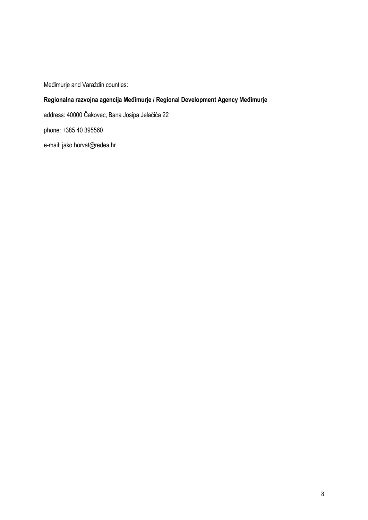Međimurje and Varaždin counties:

### **Regionalna razvojna agencija Međimurje / Regional Development Agency Međimurje**

address: 40000 Čakovec, Bana Josipa Jelačića 22 phone: [+385 40 395560](tel:+385%2040%20395560) e-mail[: jako.horvat@redea.hr](mailto:jako.horvat@redea.hr)